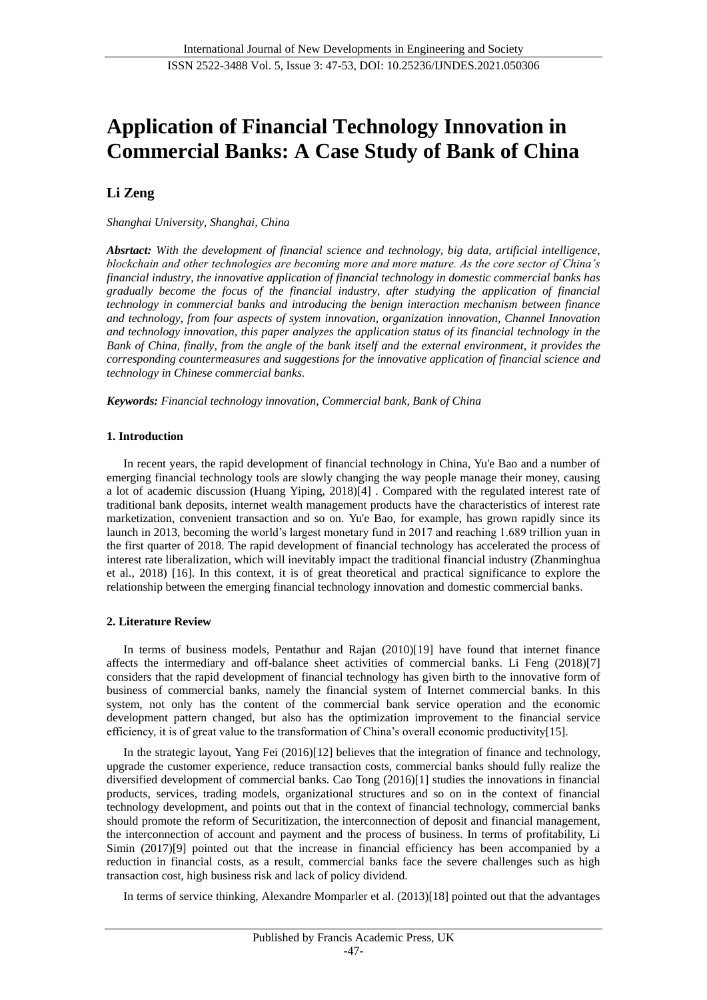# **Application of Financial Technology Innovation in Commercial Banks: A Case Study of Bank of China**

# **Li Zeng**

# *Shanghai University, Shanghai, China*

*Absrtact: With the development of financial science and technology, big data, artificial intelligence, blockchain and other technologies are becoming more and more mature. As the core sector of China's financial industry, the innovative application of financial technology in domestic commercial banks has gradually become the focus of the financial industry, after studying the application of financial technology in commercial banks and introducing the benign interaction mechanism between finance and technology, from four aspects of system innovation, organization innovation, Channel Innovation and technology innovation, this paper analyzes the application status of its financial technology in the Bank of China, finally, from the angle of the bank itself and the external environment, it provides the corresponding countermeasures and suggestions for the innovative application of financial science and technology in Chinese commercial banks.*

*Keywords: Financial technology innovation, Commercial bank, Bank of China*

# **1. Introduction**

In recent years, the rapid development of financial technology in China, Yu'e Bao and a number of emerging financial technology tools are slowly changing the way people manage their money, causing a lot of academic discussion (Huang Yiping, 2018)[4] . Compared with the regulated interest rate of traditional bank deposits, internet wealth management products have the characteristics of interest rate marketization, convenient transaction and so on. Yu'e Bao, for example, has grown rapidly since its launch in 2013, becoming the world's largest monetary fund in 2017 and reaching 1.689 trillion yuan in the first quarter of 2018. The rapid development of financial technology has accelerated the process of interest rate liberalization, which will inevitably impact the traditional financial industry (Zhanminghua et al., 2018) [16]. In this context, it is of great theoretical and practical significance to explore the relationship between the emerging financial technology innovation and domestic commercial banks.

# **2. Literature Review**

In terms of business models, Pentathur and Rajan (2010)[19] have found that internet finance affects the intermediary and off-balance sheet activities of commercial banks. Li Feng (2018)[7] considers that the rapid development of financial technology has given birth to the innovative form of business of commercial banks, namely the financial system of Internet commercial banks. In this system, not only has the content of the commercial bank service operation and the economic development pattern changed, but also has the optimization improvement to the financial service efficiency, it is of great value to the transformation of China's overall economic productivity[15].

In the strategic layout, Yang Fei (2016)[12] believes that the integration of finance and technology, upgrade the customer experience, reduce transaction costs, commercial banks should fully realize the diversified development of commercial banks. Cao Tong (2016)[1] studies the innovations in financial products, services, trading models, organizational structures and so on in the context of financial technology development, and points out that in the context of financial technology, commercial banks should promote the reform of Securitization, the interconnection of deposit and financial management, the interconnection of account and payment and the process of business. In terms of profitability, Li Simin (2017)[9] pointed out that the increase in financial efficiency has been accompanied by a reduction in financial costs, as a result, commercial banks face the severe challenges such as high transaction cost, high business risk and lack of policy dividend.

In terms of service thinking, Alexandre Momparler et al. (2013)[18] pointed out that the advantages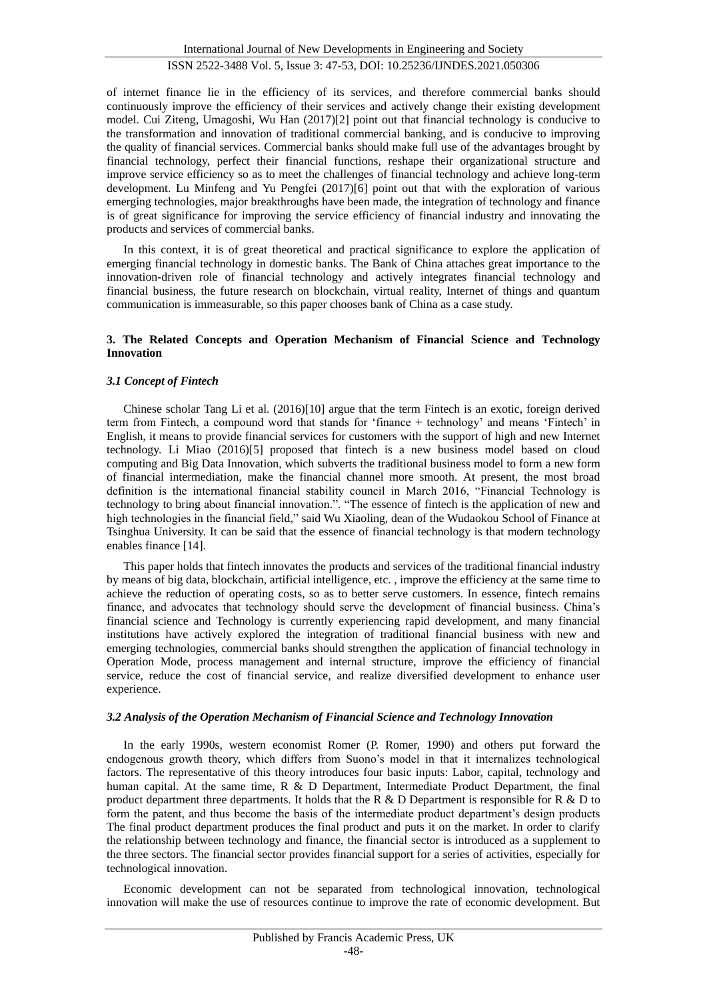of internet finance lie in the efficiency of its services, and therefore commercial banks should continuously improve the efficiency of their services and actively change their existing development model. Cui Ziteng, Umagoshi, Wu Han (2017)[2] point out that financial technology is conducive to the transformation and innovation of traditional commercial banking, and is conducive to improving the quality of financial services. Commercial banks should make full use of the advantages brought by financial technology, perfect their financial functions, reshape their organizational structure and improve service efficiency so as to meet the challenges of financial technology and achieve long-term development. Lu Minfeng and Yu Pengfei (2017)[6] point out that with the exploration of various emerging technologies, major breakthroughs have been made, the integration of technology and finance is of great significance for improving the service efficiency of financial industry and innovating the products and services of commercial banks.

In this context, it is of great theoretical and practical significance to explore the application of emerging financial technology in domestic banks. The Bank of China attaches great importance to the innovation-driven role of financial technology and actively integrates financial technology and financial business, the future research on blockchain, virtual reality, Internet of things and quantum communication is immeasurable, so this paper chooses bank of China as a case study.

#### **3. The Related Concepts and Operation Mechanism of Financial Science and Technology Innovation**

#### *3.1 Concept of Fintech*

Chinese scholar Tang Li et al. (2016)[10] argue that the term Fintech is an exotic, foreign derived term from Fintech, a compound word that stands for 'finance + technology' and means 'Fintech' in English, it means to provide financial services for customers with the support of high and new Internet technology. Li Miao (2016)[5] proposed that fintech is a new business model based on cloud computing and Big Data Innovation, which subverts the traditional business model to form a new form of financial intermediation, make the financial channel more smooth. At present, the most broad definition is the international financial stability council in March 2016, "Financial Technology is technology to bring about financial innovation.". "The essence of fintech is the application of new and high technologies in the financial field," said Wu Xiaoling, dean of the Wudaokou School of Finance at Tsinghua University. It can be said that the essence of financial technology is that modern technology enables finance [14].

This paper holds that fintech innovates the products and services of the traditional financial industry by means of big data, blockchain, artificial intelligence, etc. , improve the efficiency at the same time to achieve the reduction of operating costs, so as to better serve customers. In essence, fintech remains finance, and advocates that technology should serve the development of financial business. China's financial science and Technology is currently experiencing rapid development, and many financial institutions have actively explored the integration of traditional financial business with new and emerging technologies, commercial banks should strengthen the application of financial technology in Operation Mode, process management and internal structure, improve the efficiency of financial service, reduce the cost of financial service, and realize diversified development to enhance user experience.

#### *3.2 Analysis of the Operation Mechanism of Financial Science and Technology Innovation*

In the early 1990s, western economist Romer (P. Romer, 1990) and others put forward the endogenous growth theory, which differs from Suono's model in that it internalizes technological factors. The representative of this theory introduces four basic inputs: Labor, capital, technology and human capital. At the same time, R & D Department, Intermediate Product Department, the final product department three departments. It holds that the R & D Department is responsible for R & D to form the patent, and thus become the basis of the intermediate product department's design products The final product department produces the final product and puts it on the market. In order to clarify the relationship between technology and finance, the financial sector is introduced as a supplement to the three sectors. The financial sector provides financial support for a series of activities, especially for technological innovation.

Economic development can not be separated from technological innovation, technological innovation will make the use of resources continue to improve the rate of economic development. But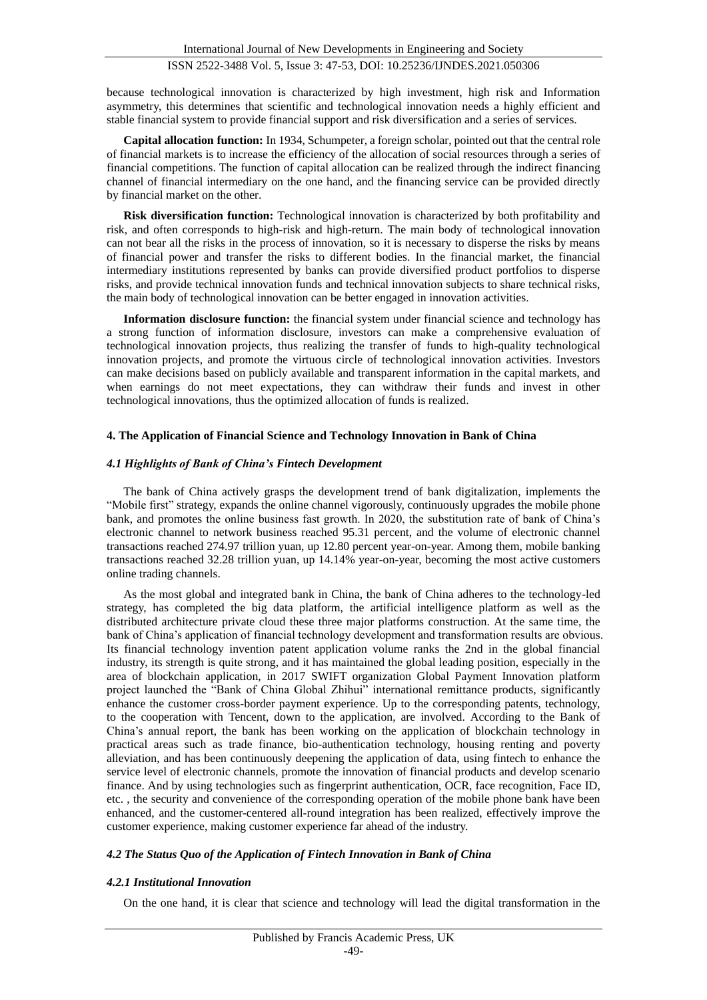because technological innovation is characterized by high investment, high risk and Information asymmetry, this determines that scientific and technological innovation needs a highly efficient and stable financial system to provide financial support and risk diversification and a series of services.

**Capital allocation function:** In 1934, Schumpeter, a foreign scholar, pointed out that the central role of financial markets is to increase the efficiency of the allocation of social resources through a series of financial competitions. The function of capital allocation can be realized through the indirect financing channel of financial intermediary on the one hand, and the financing service can be provided directly by financial market on the other.

**Risk diversification function:** Technological innovation is characterized by both profitability and risk, and often corresponds to high-risk and high-return. The main body of technological innovation can not bear all the risks in the process of innovation, so it is necessary to disperse the risks by means of financial power and transfer the risks to different bodies. In the financial market, the financial intermediary institutions represented by banks can provide diversified product portfolios to disperse risks, and provide technical innovation funds and technical innovation subjects to share technical risks, the main body of technological innovation can be better engaged in innovation activities.

**Information disclosure function:** the financial system under financial science and technology has a strong function of information disclosure, investors can make a comprehensive evaluation of technological innovation projects, thus realizing the transfer of funds to high-quality technological innovation projects, and promote the virtuous circle of technological innovation activities. Investors can make decisions based on publicly available and transparent information in the capital markets, and when earnings do not meet expectations, they can withdraw their funds and invest in other technological innovations, thus the optimized allocation of funds is realized.

# **4. The Application of Financial Science and Technology Innovation in Bank of China**

### *4.1 Highlights of Bank of China's Fintech Development*

The bank of China actively grasps the development trend of bank digitalization, implements the "Mobile first" strategy, expands the online channel vigorously, continuously upgrades the mobile phone bank, and promotes the online business fast growth. In 2020, the substitution rate of bank of China's electronic channel to network business reached 95.31 percent, and the volume of electronic channel transactions reached 274.97 trillion yuan, up 12.80 percent year-on-year. Among them, mobile banking transactions reached 32.28 trillion yuan, up 14.14% year-on-year, becoming the most active customers online trading channels.

As the most global and integrated bank in China, the bank of China adheres to the technology-led strategy, has completed the big data platform, the artificial intelligence platform as well as the distributed architecture private cloud these three major platforms construction. At the same time, the bank of China's application of financial technology development and transformation results are obvious. Its financial technology invention patent application volume ranks the 2nd in the global financial industry, its strength is quite strong, and it has maintained the global leading position, especially in the area of blockchain application, in 2017 SWIFT organization Global Payment Innovation platform project launched the "Bank of China Global Zhihui" international remittance products, significantly enhance the customer cross-border payment experience. Up to the corresponding patents, technology, to the cooperation with Tencent, down to the application, are involved. According to the Bank of China's annual report, the bank has been working on the application of blockchain technology in practical areas such as trade finance, bio-authentication technology, housing renting and poverty alleviation, and has been continuously deepening the application of data, using fintech to enhance the service level of electronic channels, promote the innovation of financial products and develop scenario finance. And by using technologies such as fingerprint authentication, OCR, face recognition, Face ID, etc. , the security and convenience of the corresponding operation of the mobile phone bank have been enhanced, and the customer-centered all-round integration has been realized, effectively improve the customer experience, making customer experience far ahead of the industry.

# *4.2 The Status Quo of the Application of Fintech Innovation in Bank of China*

# *4.2.1 Institutional Innovation*

On the one hand, it is clear that science and technology will lead the digital transformation in the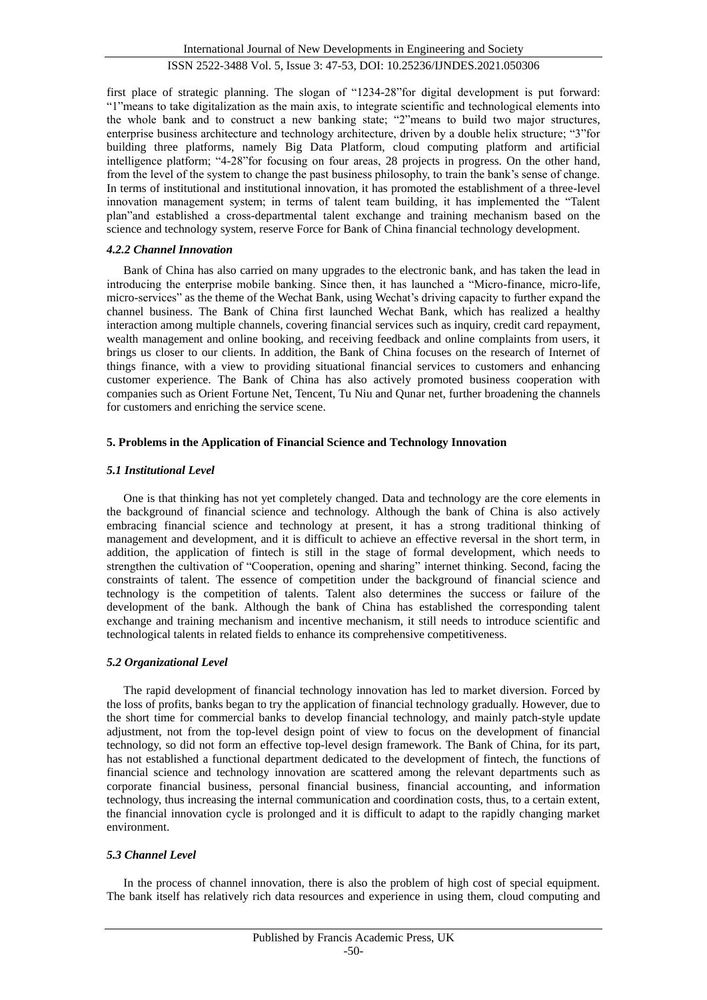first place of strategic planning. The slogan of "1234-28"for digital development is put forward: "1"means to take digitalization as the main axis, to integrate scientific and technological elements into the whole bank and to construct a new banking state; "2"means to build two major structures, enterprise business architecture and technology architecture, driven by a double helix structure; "3"for building three platforms, namely Big Data Platform, cloud computing platform and artificial intelligence platform; "4-28"for focusing on four areas, 28 projects in progress. On the other hand, from the level of the system to change the past business philosophy, to train the bank's sense of change. In terms of institutional and institutional innovation, it has promoted the establishment of a three-level innovation management system; in terms of talent team building, it has implemented the "Talent plan"and established a cross-departmental talent exchange and training mechanism based on the science and technology system, reserve Force for Bank of China financial technology development.

# *4.2.2 Channel Innovation*

Bank of China has also carried on many upgrades to the electronic bank, and has taken the lead in introducing the enterprise mobile banking. Since then, it has launched a "Micro-finance, micro-life, micro-services" as the theme of the Wechat Bank, using Wechat's driving capacity to further expand the channel business. The Bank of China first launched Wechat Bank, which has realized a healthy interaction among multiple channels, covering financial services such as inquiry, credit card repayment, wealth management and online booking, and receiving feedback and online complaints from users, it brings us closer to our clients. In addition, the Bank of China focuses on the research of Internet of things finance, with a view to providing situational financial services to customers and enhancing customer experience. The Bank of China has also actively promoted business cooperation with companies such as Orient Fortune Net, Tencent, Tu Niu and Qunar net, further broadening the channels for customers and enriching the service scene.

# **5. Problems in the Application of Financial Science and Technology Innovation**

# *5.1 Institutional Level*

One is that thinking has not yet completely changed. Data and technology are the core elements in the background of financial science and technology. Although the bank of China is also actively embracing financial science and technology at present, it has a strong traditional thinking of management and development, and it is difficult to achieve an effective reversal in the short term, in addition, the application of fintech is still in the stage of formal development, which needs to strengthen the cultivation of "Cooperation, opening and sharing" internet thinking. Second, facing the constraints of talent. The essence of competition under the background of financial science and technology is the competition of talents. Talent also determines the success or failure of the development of the bank. Although the bank of China has established the corresponding talent exchange and training mechanism and incentive mechanism, it still needs to introduce scientific and technological talents in related fields to enhance its comprehensive competitiveness.

# *5.2 Organizational Level*

The rapid development of financial technology innovation has led to market diversion. Forced by the loss of profits, banks began to try the application of financial technology gradually. However, due to the short time for commercial banks to develop financial technology, and mainly patch-style update adjustment, not from the top-level design point of view to focus on the development of financial technology, so did not form an effective top-level design framework. The Bank of China, for its part, has not established a functional department dedicated to the development of fintech, the functions of financial science and technology innovation are scattered among the relevant departments such as corporate financial business, personal financial business, financial accounting, and information technology, thus increasing the internal communication and coordination costs, thus, to a certain extent, the financial innovation cycle is prolonged and it is difficult to adapt to the rapidly changing market environment.

### *5.3 Channel Level*

In the process of channel innovation, there is also the problem of high cost of special equipment. The bank itself has relatively rich data resources and experience in using them, cloud computing and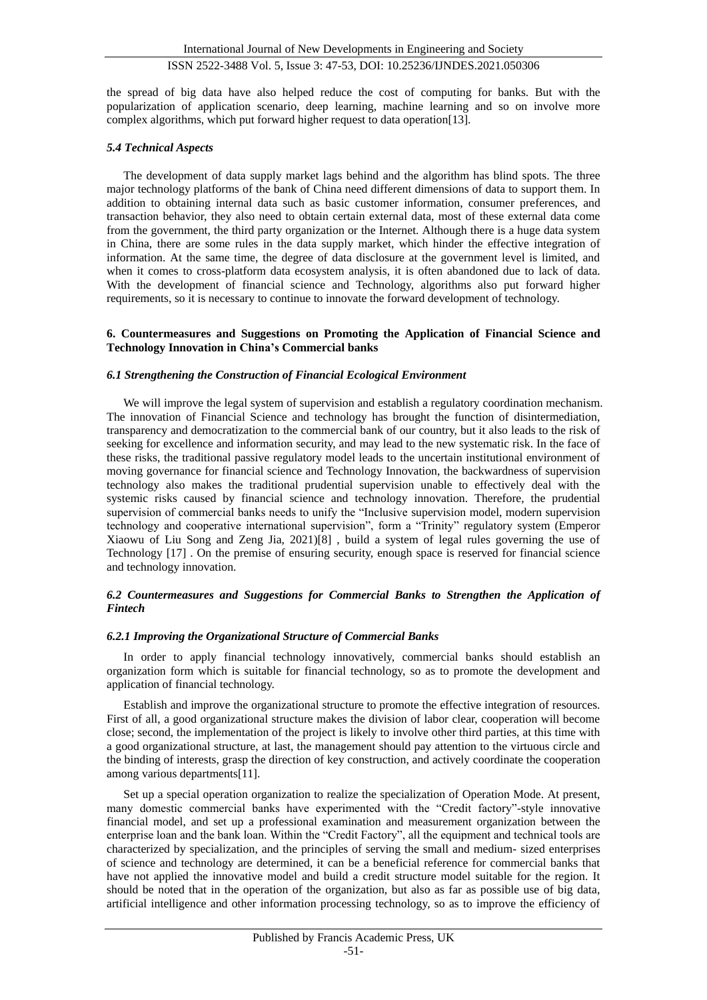the spread of big data have also helped reduce the cost of computing for banks. But with the popularization of application scenario, deep learning, machine learning and so on involve more complex algorithms, which put forward higher request to data operation[13].

### *5.4 Technical Aspects*

The development of data supply market lags behind and the algorithm has blind spots. The three major technology platforms of the bank of China need different dimensions of data to support them. In addition to obtaining internal data such as basic customer information, consumer preferences, and transaction behavior, they also need to obtain certain external data, most of these external data come from the government, the third party organization or the Internet. Although there is a huge data system in China, there are some rules in the data supply market, which hinder the effective integration of information. At the same time, the degree of data disclosure at the government level is limited, and when it comes to cross-platform data ecosystem analysis, it is often abandoned due to lack of data. With the development of financial science and Technology, algorithms also put forward higher requirements, so it is necessary to continue to innovate the forward development of technology.

#### **6. Countermeasures and Suggestions on Promoting the Application of Financial Science and Technology Innovation in China's Commercial banks**

#### *6.1 Strengthening the Construction of Financial Ecological Environment*

We will improve the legal system of supervision and establish a regulatory coordination mechanism. The innovation of Financial Science and technology has brought the function of disintermediation, transparency and democratization to the commercial bank of our country, but it also leads to the risk of seeking for excellence and information security, and may lead to the new systematic risk. In the face of these risks, the traditional passive regulatory model leads to the uncertain institutional environment of moving governance for financial science and Technology Innovation, the backwardness of supervision technology also makes the traditional prudential supervision unable to effectively deal with the systemic risks caused by financial science and technology innovation. Therefore, the prudential supervision of commercial banks needs to unify the "Inclusive supervision model, modern supervision technology and cooperative international supervision", form a "Trinity" regulatory system (Emperor Xiaowu of Liu Song and Zeng Jia, 2021)[8] , build a system of legal rules governing the use of Technology [17] . On the premise of ensuring security, enough space is reserved for financial science and technology innovation.

### *6.2 Countermeasures and Suggestions for Commercial Banks to Strengthen the Application of Fintech*

#### *6.2.1 Improving the Organizational Structure of Commercial Banks*

In order to apply financial technology innovatively, commercial banks should establish an organization form which is suitable for financial technology, so as to promote the development and application of financial technology.

Establish and improve the organizational structure to promote the effective integration of resources. First of all, a good organizational structure makes the division of labor clear, cooperation will become close; second, the implementation of the project is likely to involve other third parties, at this time with a good organizational structure, at last, the management should pay attention to the virtuous circle and the binding of interests, grasp the direction of key construction, and actively coordinate the cooperation among various departments[11].

Set up a special operation organization to realize the specialization of Operation Mode. At present, many domestic commercial banks have experimented with the "Credit factory"-style innovative financial model, and set up a professional examination and measurement organization between the enterprise loan and the bank loan. Within the "Credit Factory", all the equipment and technical tools are characterized by specialization, and the principles of serving the small and medium- sized enterprises of science and technology are determined, it can be a beneficial reference for commercial banks that have not applied the innovative model and build a credit structure model suitable for the region. It should be noted that in the operation of the organization, but also as far as possible use of big data, artificial intelligence and other information processing technology, so as to improve the efficiency of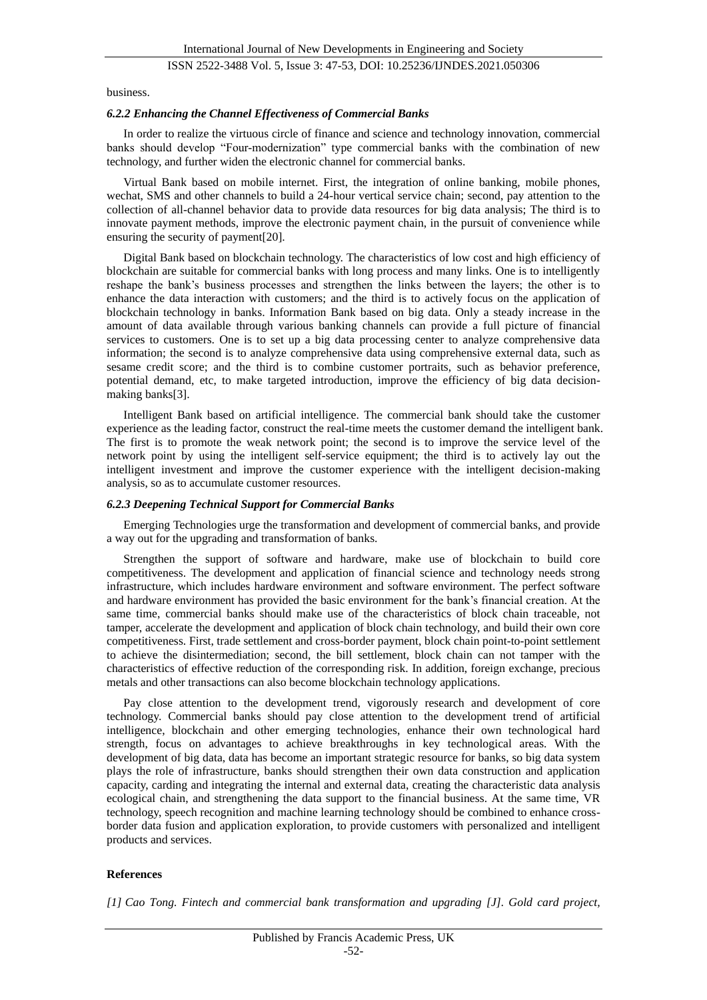business.

#### *6.2.2 Enhancing the Channel Effectiveness of Commercial Banks*

In order to realize the virtuous circle of finance and science and technology innovation, commercial banks should develop "Four-modernization" type commercial banks with the combination of new technology, and further widen the electronic channel for commercial banks.

Virtual Bank based on mobile internet. First, the integration of online banking, mobile phones, wechat, SMS and other channels to build a 24-hour vertical service chain; second, pay attention to the collection of all-channel behavior data to provide data resources for big data analysis; The third is to innovate payment methods, improve the electronic payment chain, in the pursuit of convenience while ensuring the security of payment[20].

Digital Bank based on blockchain technology. The characteristics of low cost and high efficiency of blockchain are suitable for commercial banks with long process and many links. One is to intelligently reshape the bank's business processes and strengthen the links between the layers; the other is to enhance the data interaction with customers; and the third is to actively focus on the application of blockchain technology in banks. Information Bank based on big data. Only a steady increase in the amount of data available through various banking channels can provide a full picture of financial services to customers. One is to set up a big data processing center to analyze comprehensive data information; the second is to analyze comprehensive data using comprehensive external data, such as sesame credit score; and the third is to combine customer portraits, such as behavior preference, potential demand, etc, to make targeted introduction, improve the efficiency of big data decisionmaking banks[3].

Intelligent Bank based on artificial intelligence. The commercial bank should take the customer experience as the leading factor, construct the real-time meets the customer demand the intelligent bank. The first is to promote the weak network point; the second is to improve the service level of the network point by using the intelligent self-service equipment; the third is to actively lay out the intelligent investment and improve the customer experience with the intelligent decision-making analysis, so as to accumulate customer resources.

#### *6.2.3 Deepening Technical Support for Commercial Banks*

Emerging Technologies urge the transformation and development of commercial banks, and provide a way out for the upgrading and transformation of banks.

Strengthen the support of software and hardware, make use of blockchain to build core competitiveness. The development and application of financial science and technology needs strong infrastructure, which includes hardware environment and software environment. The perfect software and hardware environment has provided the basic environment for the bank's financial creation. At the same time, commercial banks should make use of the characteristics of block chain traceable, not tamper, accelerate the development and application of block chain technology, and build their own core competitiveness. First, trade settlement and cross-border payment, block chain point-to-point settlement to achieve the disintermediation; second, the bill settlement, block chain can not tamper with the characteristics of effective reduction of the corresponding risk. In addition, foreign exchange, precious metals and other transactions can also become blockchain technology applications.

Pay close attention to the development trend, vigorously research and development of core technology. Commercial banks should pay close attention to the development trend of artificial intelligence, blockchain and other emerging technologies, enhance their own technological hard strength, focus on advantages to achieve breakthroughs in key technological areas. With the development of big data, data has become an important strategic resource for banks, so big data system plays the role of infrastructure, banks should strengthen their own data construction and application capacity, carding and integrating the internal and external data, creating the characteristic data analysis ecological chain, and strengthening the data support to the financial business. At the same time, VR technology, speech recognition and machine learning technology should be combined to enhance crossborder data fusion and application exploration, to provide customers with personalized and intelligent products and services.

#### **References**

*[1] Cao Tong. Fintech and commercial bank transformation and upgrading [J]. Gold card project,*